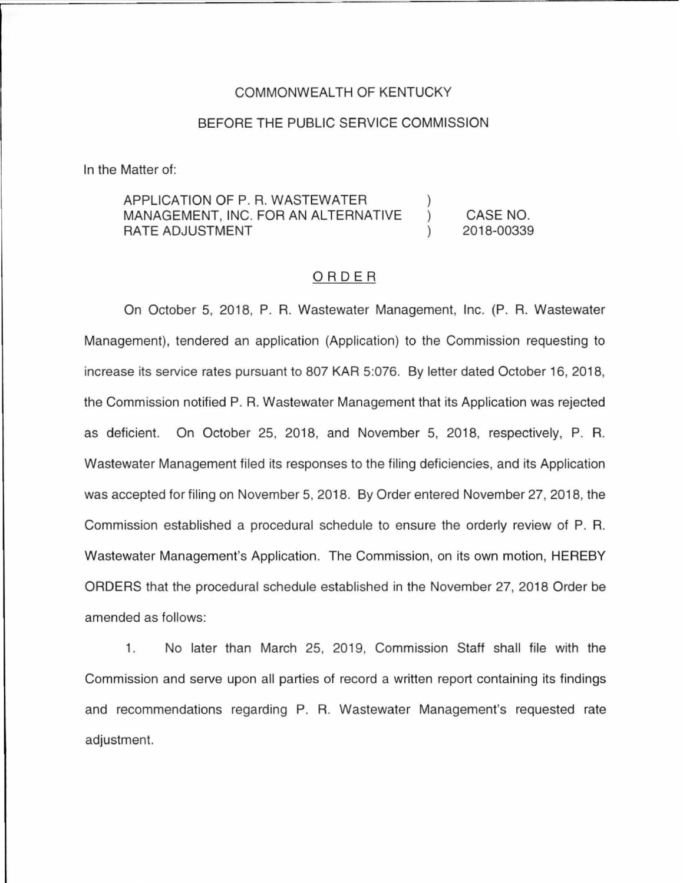### COMMONWEALTH OF KENTUCKY

### BEFORE THE PUBLIC SERVICE COMMISSION

In the Matter of:

### APPLICATION OF P.R. WASTEWATER MANAGEMENT, INC. FOR AN ALTERNATIVE RATE ADJUSTMENT )  $\left( \right)$  $\mathcal{L}$

CASE NO. 2018-00339

## ORDER

On October 5, 2018, P. R. Wastewater Management, Inc. (P. R. Wastewater Management), tendered an application (Application) to the Commission requesting to increase its service rates pursuant to 807 KAR 5:076. By letter dated October 16, 2018, the Commission notified P. R. Wastewater Management that its Application was rejected as deficient. On October 25, 2018, and November 5, 2018, respectively, P. R. Wastewater Management filed its responses to the filing deficiencies, and its Application was accepted for filing on November 5, 2018. By Order entered November 27, 2018, the Commission established a procedural schedule to ensure the orderly review of P. R. Wastewater Management's Application. The Commission, on its own motion, HEREBY ORDERS that the procedural schedule established in the November 27, 2018 Order be amended as follows:

1. No later than March 25, 2019, Commission Staff shall file with the Commission and serve upon all parties of record a written report containing its findings and recommendations regarding P. R. Wastewater Management's requested rate adjustment.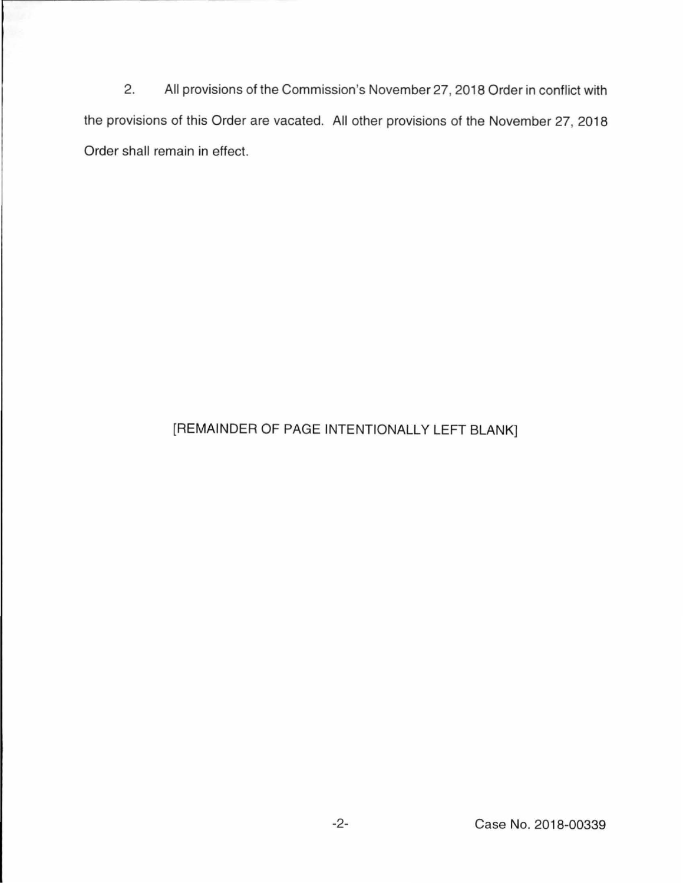2. All provisions of the Commission's November 27, 2018 Order in conflict with the provisions of this Order are vacated. All other provisions of the November 27, 2018 Order shall remain in effect.

# [REMAINDER OF PAGE INTENTIONALLY LEFT BLANK]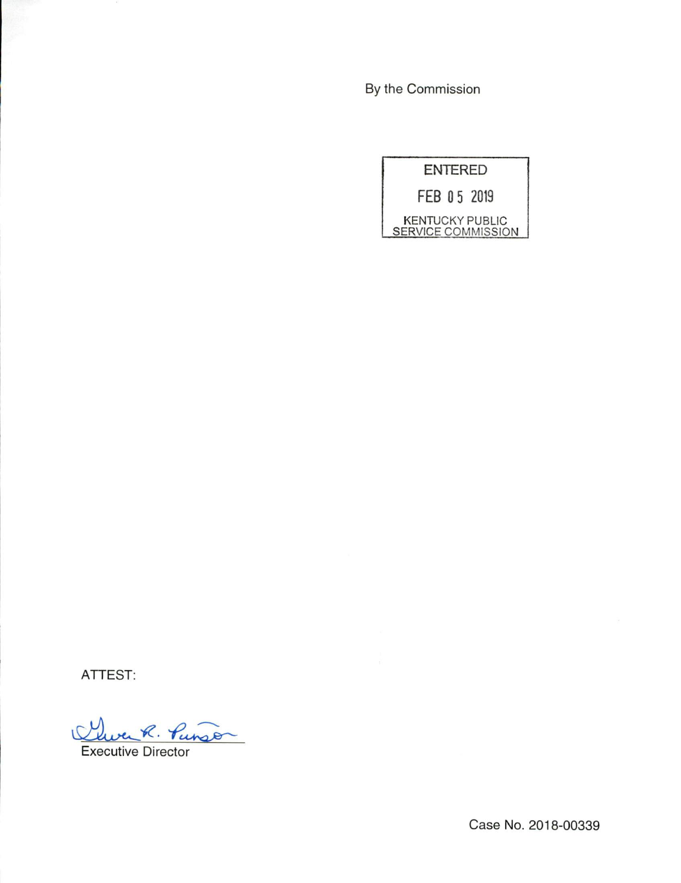By the Commission

ENTERED FEB 0 5 2019 KENTUCKY PUBLIC **SERVICE COMMISSION** 

ATTEST:

verk. Punson V

Executive Director

Case No. 2018-00339